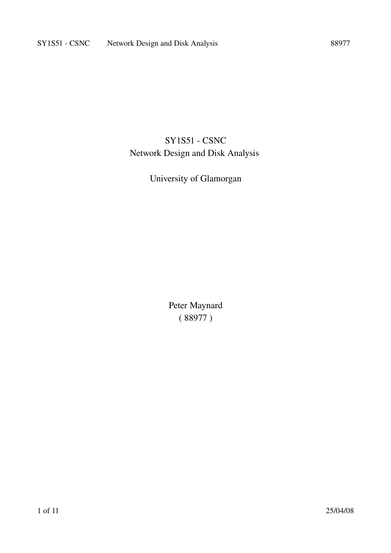### **SY1S51 - CSNC** Network Design and Disk Analysis

### University of Glamorgan

Peter Maynard ( 88977 )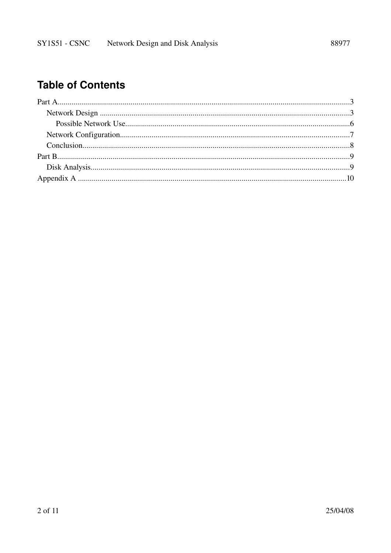# **Table of Contents**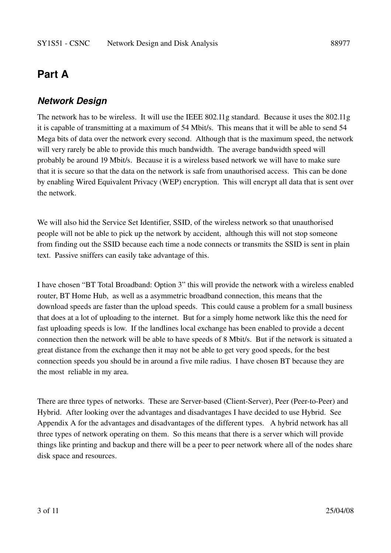### **Part A**

#### *Network Design*

The network has to be wireless. It will use the IEEE 802.11g standard. Because it uses the 802.11g it is capable of transmitting at a maximum of 54 Mbit/s. This means that it will be able to send 54 Mega bits of data over the network every second. Although that is the maximum speed, the network will very rarely be able to provide this much bandwidth. The average bandwidth speed will probably be around 19 Mbit/s. Because it is a wireless based network we will have to make sure that it is secure so that the data on the network is safe from unauthorised access. This can be done by enabling Wired Equivalent Privacy (WEP) encryption. This will encrypt all data that is sent over the network.

We will also hid the Service Set Identifier, SSID, of the wireless network so that unauthorised people will not be able to pick up the network by accident, although this will not stop someone from finding out the SSID because each time a node connects or transmits the SSID is sent in plain text. Passive sniffers can easily take advantage of this.

I have chosen "BT Total Broadband: Option 3" this will provide the network with a wireless enabled router, BT Home Hub, as well as a asymmetric broadband connection, this means that the download speeds are faster than the upload speeds. This could cause a problem for a small business that does at a lot of uploading to the internet. But for a simply home network like this the need for fast uploading speeds is low. If the landlines local exchange has been enabled to provide a decent connection then the network will be able to have speeds of 8 Mbit/s. But if the network is situated a great distance from the exchange then it may not be able to get very good speeds, for the best connection speeds you should be in around a five mile radius. I have chosen BT because they are the most reliable in my area.

There are three types of networks. These are Server-based (Client-Server), Peer (Peer-to-Peer) and Hybrid. After looking over the advantages and disadvantages I have decided to use Hybrid. See Appendix A for the advantages and disadvantages of the different types. A hybrid network has all three types of network operating on them. So this means that there is a server which will provide things like printing and backup and there will be a peer to peer network where all of the nodes share disk space and resources.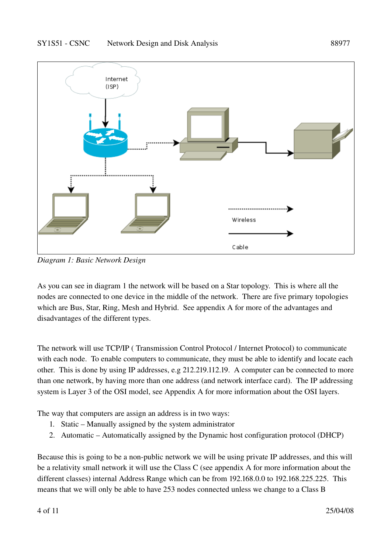

*Diagram 1: Basic Network Design*

As you can see in diagram 1 the network will be based on a Star topology. This is where all the nodes are connected to one device in the middle of the network. There are five primary topologies which are Bus, Star, Ring, Mesh and Hybrid. See appendix A for more of the advantages and disadvantages of the different types.

The network will use TCP/IP ( Transmission Control Protocol / Internet Protocol) to communicate with each node. To enable computers to communicate, they must be able to identify and locate each other. This is done by using IP addresses, e.g 212.219.112.19. A computer can be connected to more than one network, by having more than one address (and network interface card). The IP addressing system is Layer 3 of the OSI model, see Appendix A for more information about the OSI layers.

The way that computers are assign an address is in two ways:

- 1. Static Manually assigned by the system administrator
- 2. Automatic Automatically assigned by the Dynamic host configuration protocol (DHCP)

Because this is going to be a non-public network we will be using private IP addresses, and this will be a relativity small network it will use the Class C (see appendix A for more information about the different classes) internal Address Range which can be from 192.168.0.0 to 192.168.225.225. This means that we will only be able to have 253 nodes connected unless we change to a Class B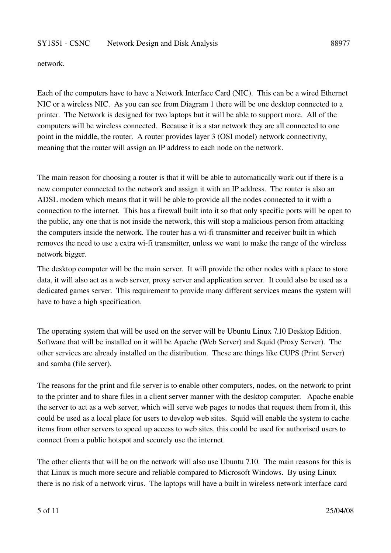#### SY1S51 - CSNC Network Design and Disk Analysis 88977

network.

Each of the computers have to have a Network Interface Card (NIC). This can be a wired Ethernet NIC or a wireless NIC. As you can see from Diagram 1 there will be one desktop connected to a printer. The Network is designed for two laptops but it will be able to support more. All of the computers will be wireless connected. Because it is a star network they are all connected to one point in the middle, the router. A router provides layer 3 (OSI model) network connectivity, meaning that the router will assign an IP address to each node on the network.

The main reason for choosing a router is that it will be able to automatically work out if there is a new computer connected to the network and assign it with an IP address. The router is also an ADSL modem which means that it will be able to provide all the nodes connected to it with a connection to the internet. This has a firewall built into it so that only specific ports will be open to the public, any one that is not inside the network, this will stop a malicious person from attacking the computers inside the network. The router has a wifi transmitter and receiver built in which removes the need to use a extra wi-fi transmitter, unless we want to make the range of the wireless network bigger.

The desktop computer will be the main server. It will provide the other nodes with a place to store data, it will also act as a web server, proxy server and application server. It could also be used as a dedicated games server. This requirement to provide many different services means the system will have to have a high specification.

The operating system that will be used on the server will be Ubuntu Linux 7.10 Desktop Edition. Software that will be installed on it will be Apache (Web Server) and Squid (Proxy Server). The other services are already installed on the distribution. These are things like CUPS (Print Server) and samba (file server).

The reasons for the print and file server is to enable other computers, nodes, on the network to print to the printer and to share files in a client server manner with the desktop computer. Apache enable the server to act as a web server, which will serve web pages to nodes that request them from it, this could be used as a local place for users to develop web sites. Squid will enable the system to cache items from other servers to speed up access to web sites, this could be used for authorised users to connect from a public hotspot and securely use the internet.

The other clients that will be on the network will also use Ubuntu 7.10. The main reasons for this is that Linux is much more secure and reliable compared to Microsoft Windows. By using Linux there is no risk of a network virus. The laptops will have a built in wireless network interface card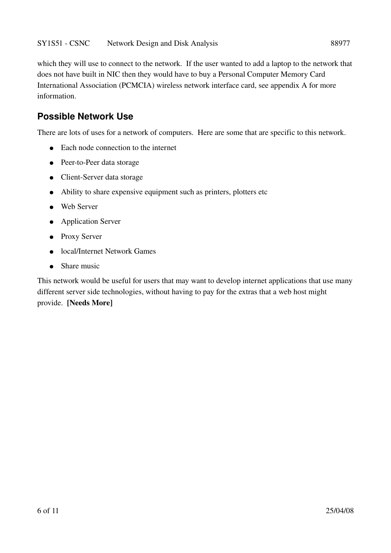which they will use to connect to the network. If the user wanted to add a laptop to the network that does not have built in NIC then they would have to buy a Personal Computer Memory Card International Association (PCMCIA) wireless network interface card, see appendix A for more information.

#### **Possible Network Use**

There are lots of uses for a network of computers. Here are some that are specific to this network.

- Each node connection to the internet
- Peer-to-Peer data storage
- Client-Server data storage
- Ability to share expensive equipment such as printers, plotters etc
- Web Server
- Application Server
- Proxy Server
- local/Internet Network Games
- $\bullet$  Share music

This network would be useful for users that may want to develop internet applications that use many different server side technologies, without having to pay for the extras that a web host might provide. [Needs More]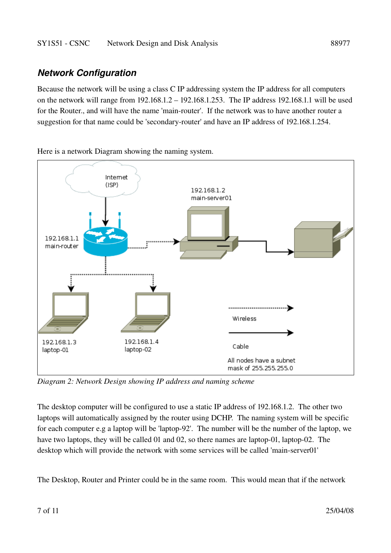#### *Network Configuration*

Because the network will be using a class C IP addressing system the IP address for all computers on the network will range from 192.168.1.2 – 192.168.1.253. The IP address 192.168.1.1 will be used for the Router., and will have the name 'main-router'. If the network was to have another router a suggestion for that name could be 'secondary-router' and have an IP address of 192.168.1.254.

Internet  $(ISP)$ 192.168.1.2 main-server01 192.168.1.1 main-router ........................ Wireless 192.168.1.4 192.168.1.3 Cable laptop-02 laptop-01 All nodes have a subnet mask of 255.255.255.0

Here is a network Diagram showing the naming system.

*Diagram 2: Network Design showing IP address and naming scheme*

The desktop computer will be configured to use a static IP address of 192.168.1.2. The other two laptops will automatically assigned by the router using DCHP. The naming system will be specific for each computer e.g a laptop will be 'laptop-92'. The number will be the number of the laptop, we have two laptops, they will be called 01 and 02, so there names are laptop-01, laptop-02. The desktop which will provide the network with some services will be called 'main-server01'

The Desktop, Router and Printer could be in the same room. This would mean that if the network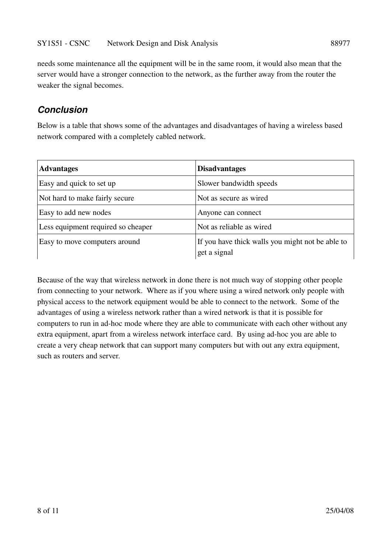needs some maintenance all the equipment will be in the same room, it would also mean that the server would have a stronger connection to the network, as the further away from the router the weaker the signal becomes.

#### *Conclusion*

Below is a table that shows some of the advantages and disadvantages of having a wireless based network compared with a completely cabled network.

| <b>Advantages</b>                  | <b>Disadvantages</b>                                             |
|------------------------------------|------------------------------------------------------------------|
| Easy and quick to set up           | Slower bandwidth speeds                                          |
| Not hard to make fairly secure     | Not as secure as wired                                           |
| Easy to add new nodes              | Anyone can connect                                               |
| Less equipment required so cheaper | Not as reliable as wired                                         |
| Easy to move computers around      | If you have thick walls you might not be able to<br>get a signal |

Because of the way that wireless network in done there is not much way of stopping other people from connecting to your network. Where as if you where using a wired network only people with physical access to the network equipment would be able to connect to the network. Some of the advantages of using a wireless network rather than a wired network is that it is possible for computers to run in ad-hoc mode where they are able to communicate with each other without any extra equipment, apart from a wireless network interface card. By using ad-hoc you are able to create a very cheap network that can support many computers but with out any extra equipment, such as routers and server.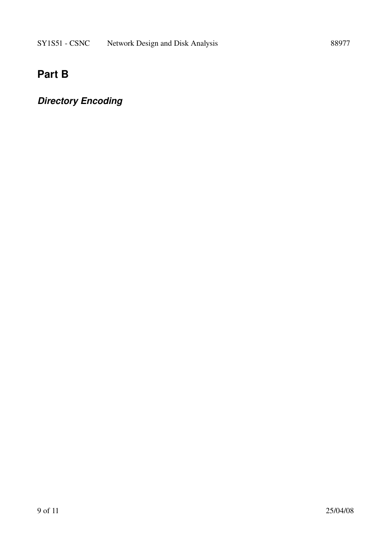## **Part B**

## *Directory Encoding*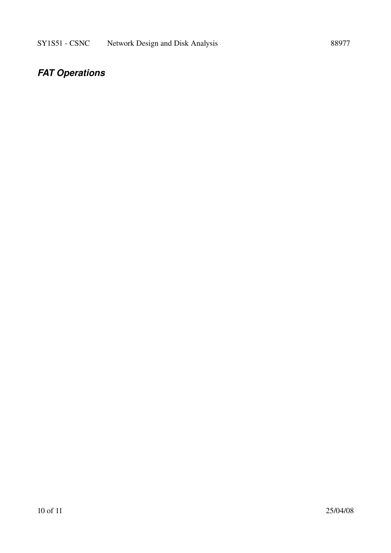## *FAT Operations*